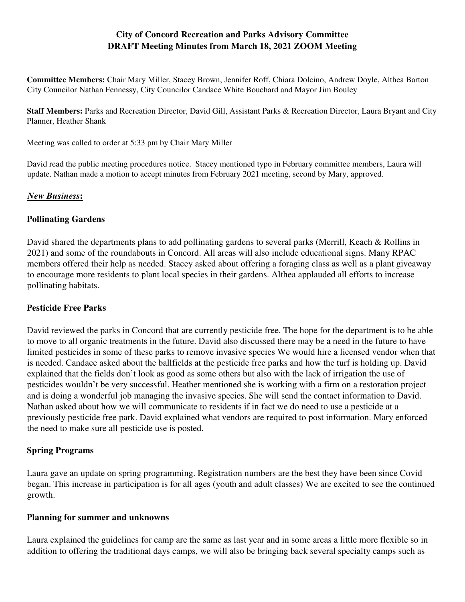## **City of Concord Recreation and Parks Advisory Committee DRAFT Meeting Minutes from March 18, 2021 ZOOM Meeting**

**Committee Members:** Chair Mary Miller, Stacey Brown, Jennifer Roff, Chiara Dolcino, Andrew Doyle, Althea Barton City Councilor Nathan Fennessy, City Councilor Candace White Bouchard and Mayor Jim Bouley

**Staff Members:** Parks and Recreation Director, David Gill, Assistant Parks & Recreation Director, Laura Bryant and City Planner, Heather Shank

Meeting was called to order at 5:33 pm by Chair Mary Miller

David read the public meeting procedures notice. Stacey mentioned typo in February committee members, Laura will update. Nathan made a motion to accept minutes from February 2021 meeting, second by Mary, approved.

#### *New Business***:**

#### **Pollinating Gardens**

David shared the departments plans to add pollinating gardens to several parks (Merrill, Keach & Rollins in 2021) and some of the roundabouts in Concord. All areas will also include educational signs. Many RPAC members offered their help as needed. Stacey asked about offering a foraging class as well as a plant giveaway to encourage more residents to plant local species in their gardens. Althea applauded all efforts to increase pollinating habitats.

#### **Pesticide Free Parks**

David reviewed the parks in Concord that are currently pesticide free. The hope for the department is to be able to move to all organic treatments in the future. David also discussed there may be a need in the future to have limited pesticides in some of these parks to remove invasive species We would hire a licensed vendor when that is needed. Candace asked about the ballfields at the pesticide free parks and how the turf is holding up. David explained that the fields don't look as good as some others but also with the lack of irrigation the use of pesticides wouldn't be very successful. Heather mentioned she is working with a firm on a restoration project and is doing a wonderful job managing the invasive species. She will send the contact information to David. Nathan asked about how we will communicate to residents if in fact we do need to use a pesticide at a previously pesticide free park. David explained what vendors are required to post information. Mary enforced the need to make sure all pesticide use is posted.

#### **Spring Programs**

Laura gave an update on spring programming. Registration numbers are the best they have been since Covid began. This increase in participation is for all ages (youth and adult classes) We are excited to see the continued growth.

#### **Planning for summer and unknowns**

Laura explained the guidelines for camp are the same as last year and in some areas a little more flexible so in addition to offering the traditional days camps, we will also be bringing back several specialty camps such as